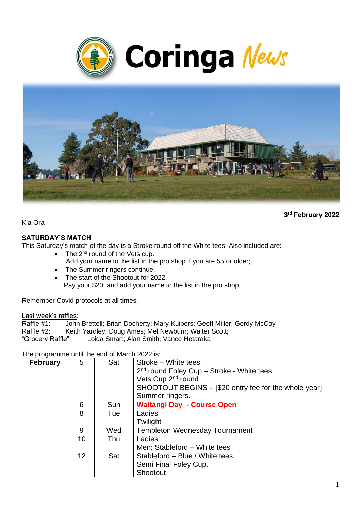



**3 rd February 2022**

Kia Ora

#### **SATURDAY'S MATCH**

This Saturday's match of the day is a Stroke round off the White tees. Also included are:

- The  $2^{nd}$  round of the Vets cup. Add your name to the list in the pro shop if you are 55 or older;
- The Summer ringers continue;
- The start of the Shootout for 2022. Pay your \$20, and add your name to the list in the pro shop.

Remember Covid protocols at all times.

Last week's raffles:<br>Raffle #1: John

Raffle #1: John Brettell; Brian Docherty; Mary Kuipers; Geoff Miller; Gordy McCoy<br>Raffle #2: Keith Yardlev: Doug Ames: Mel Newburn: Walter Scott: Keith Yardley: Doug Ames: Mel Newburn: Walter Scott: "Grocery Raffle": Loida Smart; Alan Smith; Vance Hetaraka

The programme until the end of March 2022 is:

| <b>February</b> | 5  | Sat | Stroke - White tees.                                  |  |
|-----------------|----|-----|-------------------------------------------------------|--|
|                 |    |     | 2 <sup>nd</sup> round Foley Cup - Stroke - White tees |  |
|                 |    |     | Vets Cup 2 <sup>nd</sup> round                        |  |
|                 |    |     | SHOOTOUT BEGINS - [\$20 entry fee for the whole year] |  |
|                 |    |     | Summer ringers.                                       |  |
|                 | 6  | Sun | <b>Waitangi Day - Course Open</b>                     |  |
|                 | 8  | Tue | Ladies                                                |  |
|                 |    |     | Twilight                                              |  |
|                 | 9  | Wed | <b>Templeton Wednesday Tournament</b>                 |  |
|                 | 10 | Thu | Ladies                                                |  |
|                 |    |     | Men: Stableford - White tees                          |  |
|                 | 12 | Sat | Stableford - Blue / White tees.                       |  |
|                 |    |     | Semi Final Foley Cup.                                 |  |
|                 |    |     | Shootout                                              |  |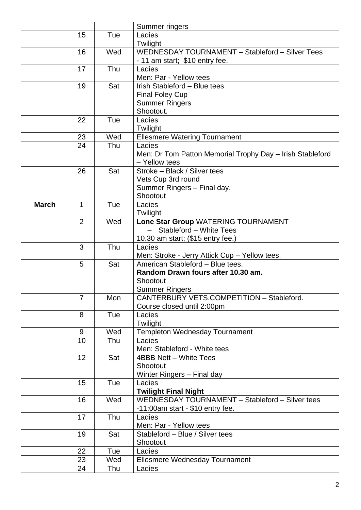|              |                |     | Summer ringers                                            |  |
|--------------|----------------|-----|-----------------------------------------------------------|--|
|              | 15             | Tue | Ladies                                                    |  |
|              |                |     | Twilight                                                  |  |
|              | 16             | Wed | WEDNESDAY TOURNAMENT - Stableford - Silver Tees           |  |
|              |                |     | - 11 am start; \$10 entry fee.                            |  |
|              | 17             | Thu | Ladies                                                    |  |
|              |                |     | Men: Par - Yellow tees                                    |  |
|              | 19             | Sat | Irish Stableford - Blue tees                              |  |
|              |                |     | <b>Final Foley Cup</b>                                    |  |
|              |                |     | <b>Summer Ringers</b>                                     |  |
|              |                |     | Shootout.                                                 |  |
|              | 22             | Tue | Ladies                                                    |  |
|              |                |     | Twilight                                                  |  |
|              | 23             | Wed | <b>Ellesmere Watering Tournament</b>                      |  |
|              | 24             | Thu | Ladies                                                    |  |
|              |                |     | Men: Dr Tom Patton Memorial Trophy Day - Irish Stableford |  |
|              |                | Sat | - Yellow tees<br>Stroke - Black / Silver tees             |  |
|              | 26             |     | Vets Cup 3rd round                                        |  |
|              |                |     | Summer Ringers - Final day.                               |  |
|              |                |     | Shootout                                                  |  |
| <b>March</b> | 1              | Tue | Ladies                                                    |  |
|              |                |     | Twilight                                                  |  |
|              | $\overline{2}$ | Wed | Lone Star Group WATERING TOURNAMENT                       |  |
|              |                |     | - Stableford - White Tees                                 |  |
|              |                |     | 10.30 am start; (\$15 entry fee.)                         |  |
|              | 3              | Thu | Ladies                                                    |  |
|              |                |     | Men: Stroke - Jerry Attick Cup - Yellow tees.             |  |
|              | 5              | Sat | American Stableford - Blue tees.                          |  |
|              |                |     | Random Drawn fours after 10.30 am.                        |  |
|              |                |     | Shootout                                                  |  |
|              |                |     | <b>Summer Ringers</b>                                     |  |
|              | 7              | Mon | CANTERBURY VETS.COMPETITION - Stableford.                 |  |
|              |                |     | Course closed until 2:00pm                                |  |
|              | 8              | Tue | Ladies                                                    |  |
|              | 9              | Wed | Twilight<br>Templeton Wednesday Tournament                |  |
|              | 10             | Thu | Ladies                                                    |  |
|              |                |     | Men: Stableford - White tees                              |  |
|              | 12             | Sat | 4BBB Nett - White Tees                                    |  |
|              |                |     | Shootout                                                  |  |
|              |                |     | Winter Ringers - Final day                                |  |
|              | 15             | Tue | Ladies                                                    |  |
|              |                |     | <b>Twilight Final Night</b>                               |  |
|              | 16             | Wed | WEDNESDAY TOURNAMENT - Stableford - Silver tees           |  |
|              |                |     | -11:00am start - \$10 entry fee.                          |  |
|              | 17             | Thu | Ladies                                                    |  |
|              |                |     | Men: Par - Yellow tees                                    |  |
|              | 19             | Sat | Stableford - Blue / Silver tees                           |  |
|              |                |     | Shootout                                                  |  |
|              | 22             | Tue | Ladies                                                    |  |
|              | 23             | Wed | Ellesmere Wednesday Tournament                            |  |
|              | 24             | Thu | Ladies                                                    |  |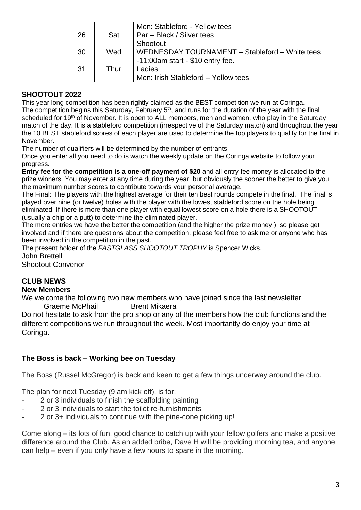|    |      | Men: Stableford - Yellow tees                  |  |
|----|------|------------------------------------------------|--|
| 26 | Sat  | Par – Black / Silver tees                      |  |
|    |      | Shootout                                       |  |
| 30 | Wed  | WEDNESDAY TOURNAMENT - Stableford - White tees |  |
|    |      | $-11:00$ am start - \$10 entry fee.            |  |
| 31 | Thur | Ladies                                         |  |
|    |      | Men: Irish Stableford - Yellow tees            |  |

## **SHOOTOUT 2022**

This year long competition has been rightly claimed as the BEST competition we run at Coringa. The competition begins this Saturday, February 5<sup>th</sup>, and runs for the duration of the year with the final scheduled for 19<sup>th</sup> of November. It is open to ALL members, men and women, who play in the Saturday match of the day. It is a stableford competition (irrespective of the Saturday match) and throughout the year the 10 BEST stableford scores of each player are used to determine the top players to qualify for the final in November.

The number of qualifiers will be determined by the number of entrants.

Once you enter all you need to do is watch the weekly update on the Coringa website to follow your progress.

**Entry fee for the competition is a one-off payment of \$20** and all entry fee money is allocated to the prize winners. You may enter at any time during the year, but obviously the sooner the better to give you the maximum number scores to contribute towards your personal average.

The Final: The players with the highest average for their ten best rounds compete in the final. The final is played over nine (or twelve) holes with the player with the lowest stableford score on the hole being eliminated. If there is more than one player with equal lowest score on a hole there is a SHOOTOUT (usually a chip or a putt) to determine the eliminated player.

The more entries we have the better the competition (and the higher the prize money!), so please get involved and if there are questions about the competition, please feel free to ask me or anyone who has been involved in the competition in the past.

The present holder of the *FASTGLASS SHOOTOUT TROPHY* is Spencer Wicks. John Brettell

Shootout Convenor

# **CLUB NEWS**

#### **New Members**

We welcome the following two new members who have joined since the last newsletter Graeme McPhail Brent Mikaera

Do not hesitate to ask from the pro shop or any of the members how the club functions and the different competitions we run throughout the week. Most importantly do enjoy your time at Coringa.

#### **The Boss is back – Working bee on Tuesday**

The Boss (Russel McGregor) is back and keen to get a few things underway around the club.

The plan for next Tuesday (9 am kick off), is for;

- 2 or 3 individuals to finish the scaffolding painting
- 2 or 3 individuals to start the toilet re-furnishments
- 2 or 3+ individuals to continue with the pine-cone picking up!

Come along – its lots of fun, good chance to catch up with your fellow golfers and make a positive difference around the Club. As an added bribe, Dave H will be providing morning tea, and anyone can help – even if you only have a few hours to spare in the morning.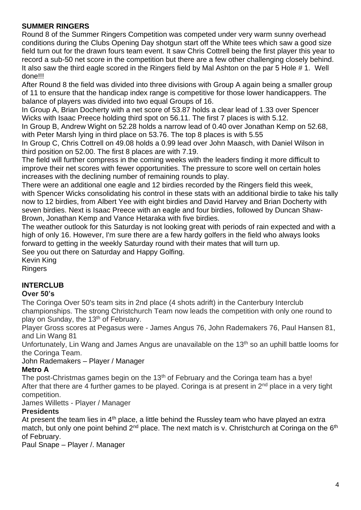## **SUMMER RINGERS**

Round 8 of the Summer Ringers Competition was competed under very warm sunny overhead conditions during the Clubs Opening Day shotgun start off the White tees which saw a good size field turn out for the drawn fours team event. It saw Chris Cottrell being the first player this year to record a sub-50 net score in the competition but there are a few other challenging closely behind. It also saw the third eagle scored in the Ringers field by Mal Ashton on the par 5 Hole # 1. Well done!!!

After Round 8 the field was divided into three divisions with Group A again being a smaller group of 11 to ensure that the handicap index range is competitive for those lower handicappers. The balance of players was divided into two equal Groups of 16.

In Group A, Brian Docherty with a net score of 53.87 holds a clear lead of 1.33 over Spencer Wicks with Isaac Preece holding third spot on 56.11. The first 7 places is with 5.12.

In Group B, Andrew Wight on 52.28 holds a narrow lead of 0.40 over Jonathan Kemp on 52.68, with Peter Marsh lying in third place on 53.76. The top 8 places is with 5.55

In Group C, Chris Cottrell on 49.08 holds a 0.99 lead over John Maasch, with Daniel Wilson in third position on 52.00. The first 8 places are with 7.19.

The field will further compress in the coming weeks with the leaders finding it more difficult to improve their net scores with fewer opportunities. The pressure to score well on certain holes increases with the declining number of remaining rounds to play.

There were an additional one eagle and 12 birdies recorded by the Ringers field this week, with Spencer Wicks consolidating his control in these stats with an additional birdie to take his tally now to 12 birdies, from Albert Yee with eight birdies and David Harvey and Brian Docherty with seven birdies. Next is Isaac Preece with an eagle and four birdies, followed by Duncan Shaw-Brown, Jonathan Kemp and Vance Hetaraka with five birdies.

The weather outlook for this Saturday is not looking great with periods of rain expected and with a high of only 16. However, I'm sure there are a few hardy golfers in the field who always looks forward to getting in the weekly Saturday round with their mates that will turn up. See you out there on Saturday and Happy Golfing.

Kevin King Ringers

## **INTERCLUB**

#### **Over 50's**

The Coringa Over 50's team sits in 2nd place (4 shots adrift) in the Canterbury Interclub championships. The strong Christchurch Team now leads the competition with only one round to play on Sunday, the 13<sup>th</sup> of February.

Player Gross scores at Pegasus were - James Angus 76, John Rademakers 76, Paul Hansen 81, and Lin Wang 81

Unfortunately, Lin Wang and James Angus are unavailable on the 13<sup>th</sup> so an uphill battle looms for the Coringa Team.

John Rademakers – Player / Manager

## **Metro A**

The post-Christmas games begin on the 13<sup>th</sup> of February and the Coringa team has a bye! After that there are 4 further games to be played. Coringa is at present in  $2<sup>nd</sup>$  place in a very tight competition.

James Willetts - Player / Manager

## **Presidents**

At present the team lies in  $4<sup>th</sup>$  place, a little behind the Russley team who have played an extra match, but only one point behind 2<sup>nd</sup> place. The next match is v. Christchurch at Coringa on the 6<sup>th</sup> of February.

Paul Snape – Player /. Manager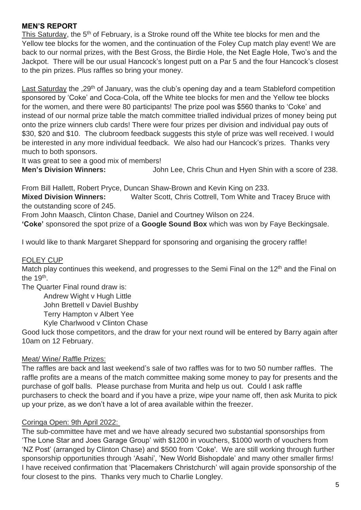#### **MEN'S REPORT**

This Saturday, the 5<sup>th</sup> of February, is a Stroke round off the White tee blocks for men and the Yellow tee blocks for the women, and the continuation of the Foley Cup match play event! We are back to our normal prizes, with the Best Gross, the Birdie Hole, the Net Eagle Hole, Two's and the Jackpot. There will be our usual Hancock's longest putt on a Par 5 and the four Hancock's closest to the pin prizes. Plus raffles so bring your money.

Last Saturday the .29<sup>th</sup> of January, was the club's opening day and a team Stableford competition sponsored by 'Coke' and Coca-Cola, off the White tee blocks for men and the Yellow tee blocks for the women, and there were 80 participants! The prize pool was \$560 thanks to 'Coke' and instead of our normal prize table the match committee trialled individual prizes of money being put onto the prize winners club cards! There were four prizes per division and individual pay outs of \$30, \$20 and \$10. The clubroom feedback suggests this style of prize was well received. I would be interested in any more individual feedback. We also had our Hancock's prizes. Thanks very much to both sponsors.

It was great to see a good mix of members!

**Men's Division Winners:** John Lee, Chris Chun and Hyen Shin with a score of 238.

From Bill Hallett, Robert Pryce, Duncan Shaw-Brown and Kevin King on 233.

**Mixed Division Winners:** Walter Scott, Chris Cottrell, Tom White and Tracey Bruce with the outstanding score of 245.

From John Maasch, Clinton Chase, Daniel and Courtney Wilson on 224.

**'Coke'** sponsored the spot prize of a **Google Sound Box** which was won by Faye Beckingsale.

I would like to thank Margaret Sheppard for sponsoring and organising the grocery raffle!

#### FOLEY CUP

Match play continues this weekend, and progresses to the Semi Final on the 12<sup>th</sup> and the Final on the  $19<sup>th</sup>$ .

The Quarter Final round draw is:

Andrew Wight v Hugh Little

John Brettell v Daviel Bushby

Terry Hampton v Albert Yee

Kyle Charlwood v Clinton Chase

Good luck those competitors, and the draw for your next round will be entered by Barry again after 10am on 12 February.

#### Meat/ Wine/ Raffle Prizes:

The raffles are back and last weekend's sale of two raffles was for to two 50 number raffles. The raffle profits are a means of the match committee making some money to pay for presents and the purchase of golf balls. Please purchase from Murita and help us out. Could I ask raffle purchasers to check the board and if you have a prize, wipe your name off, then ask Murita to pick up your prize, as we don't have a lot of area available within the freezer.

#### Coringa Open: 9th April 2022:

The sub-committee have met and we have already secured two substantial sponsorships from 'The Lone Star and Joes Garage Group' with \$1200 in vouchers, \$1000 worth of vouchers from 'NZ Post' (arranged by Clinton Chase) and \$500 from 'Coke'. We are still working through further sponsorship opportunities through 'Asahi', 'New World Bishopdale' and many other smaller firms! I have received confirmation that 'Placemakers Christchurch' will again provide sponsorship of the four closest to the pins. Thanks very much to Charlie Longley.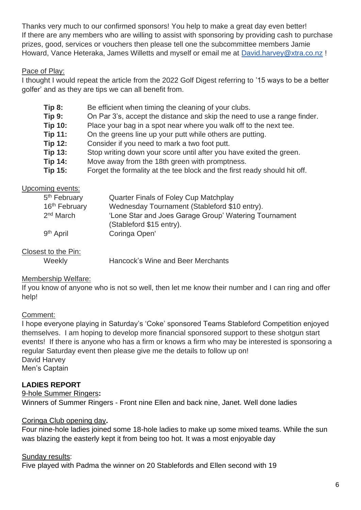Thanks very much to our confirmed sponsors! You help to make a great day even better! If there are any members who are willing to assist with sponsoring by providing cash to purchase prizes, good, services or vouchers then please tell one the subcommittee members Jamie Howard, Vance Heteraka, James Willetts and myself or email me at [David.harvey@xtra.co.nz](mailto:David.harvey@xtra.co.nz) !

## Pace of Play:

I thought I would repeat the article from the 2022 Golf Digest referring to '15 ways to be a better golfer' and as they are tips we can all benefit from.

- **Tip 8:** Be efficient when timing the cleaning of your clubs.
- **Tip 9:** On Par 3's, accept the distance and skip the need to use a range finder.
- **Tip 10:** Place your bag in a spot near where you walk off to the next tee.
- **Tip 11:** On the greens line up your putt while others are putting.
- **Tip 12:** Consider if you need to mark a two foot putt.
- **Tip 13:** Stop writing down your score until after you have exited the green.
- **Tip 14:** Move away from the 18th green with promptness.
- **Tip 15:** Forget the formality at the tee block and the first ready should hit off.

#### Upcoming events:

| 5 <sup>th</sup> February  | Quarter Finals of Foley Cup Matchplay                                             |
|---------------------------|-----------------------------------------------------------------------------------|
| 16 <sup>th</sup> February | Wednesday Tournament (Stableford \$10 entry).                                     |
| 2 <sup>nd</sup> March     | 'Lone Star and Joes Garage Group' Watering Tournament<br>(Stableford \$15 entry). |
| 9 <sup>th</sup> April     | Coringa Open'                                                                     |

#### Closest to the Pin:

Weekly Hancock's Wine and Beer Merchants

#### Membership Welfare:

If you know of anyone who is not so well, then let me know their number and I can ring and offer help!

#### Comment:

I hope everyone playing in Saturday's 'Coke' sponsored Teams Stableford Competition enjoyed themselves. I am hoping to develop more financial sponsored support to these shotgun start events! If there is anyone who has a firm or knows a firm who may be interested is sponsoring a regular Saturday event then please give me the details to follow up on! David Harvey Men's Captain

## **LADIES REPORT**

9-hole Summer Ringers**:** 

Winners of Summer Ringers - Front nine Ellen and back nine, Janet. Well done ladies

#### Coringa Club opening day**.**

Four nine-hole ladies joined some 18-hole ladies to make up some mixed teams. While the sun was blazing the easterly kept it from being too hot. It was a most enjoyable day

#### Sunday results:

Five played with Padma the winner on 20 Stablefords and Ellen second with 19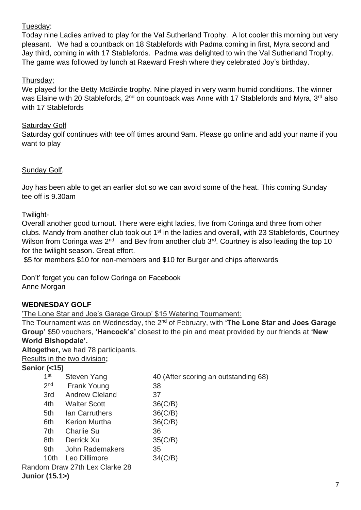#### Tuesday:

Today nine Ladies arrived to play for the Val Sutherland Trophy. A lot cooler this morning but very pleasant. We had a countback on 18 Stablefords with Padma coming in first, Myra second and Jay third, coming in with 17 Stablefords. Padma was delighted to win the Val Sutherland Trophy. The game was followed by lunch at Raeward Fresh where they celebrated Joy's birthday.

#### Thursday;

We played for the Betty McBirdie trophy. Nine played in very warm humid conditions. The winner was Elaine with 20 Stablefords, 2<sup>nd</sup> on countback was Anne with 17 Stablefords and Myra, 3<sup>rd</sup> also with 17 Stablefords

#### **Saturday Golf**

Saturday golf continues with tee off times around 9am. Please go online and add your name if you want to play

#### Sunday Golf,

Joy has been able to get an earlier slot so we can avoid some of the heat. This coming Sunday tee off is 9.30am

#### Twilight-

Overall another good turnout. There were eight ladies, five from Coringa and three from other clubs. Mandy from another club took out 1<sup>st</sup> in the ladies and overall, with 23 Stablefords, Courtney Wilson from Coringa was  $2^{nd}$  and Bev from another club  $3^{rd}$ . Courtney is also leading the top 10 for the twilight season. Great effort.

\$5 for members \$10 for non-members and \$10 for Burger and chips afterwards

Don't' forget you can follow Coringa on Facebook Anne Morgan

#### **WEDNESDAY GOLF**

'The Lone Star and Joe's Garage Group' \$15 Watering Tournament:

The Tournament was on Wednesday, the 2<sup>nd</sup> of February, with 'The Lone Star and Joes Garage **Group'** \$50 vouchers, **'Hancock's'** closest to the pin and meat provided by our friends at **'New World Bishopdale'.** 

**Altogether,** we had 78 participants.

| Results in the two division; |  |
|------------------------------|--|
|------------------------------|--|

#### **Senior (<15)**

| 1 <sup>st</sup> | Steven Yang                    | 40 (After scoring an outstanding 68) |
|-----------------|--------------------------------|--------------------------------------|
| 2 <sub>nd</sub> | <b>Frank Young</b>             | 38                                   |
| 3rd             | <b>Andrew Cleland</b>          | 37                                   |
| 4th             | <b>Walter Scott</b>            | $36$ (C/B)                           |
| 5th             | lan Carruthers                 | $36$ ( $C/B$ )                       |
| 6th             | <b>Kerion Murtha</b>           | $36$ (C/B)                           |
| 7th             | <b>Charlie Su</b>              | 36                                   |
| 8th             | Derrick Xu                     | 35(C/B)                              |
| 9th             | John Rademakers                | 35                                   |
| 10th            | Leo Dillimore                  | $34$ ( $C/B$ )                       |
|                 | Random Draw 27th Lex Clarke 28 |                                      |
| Junior (15.1>)  |                                |                                      |
|                 |                                |                                      |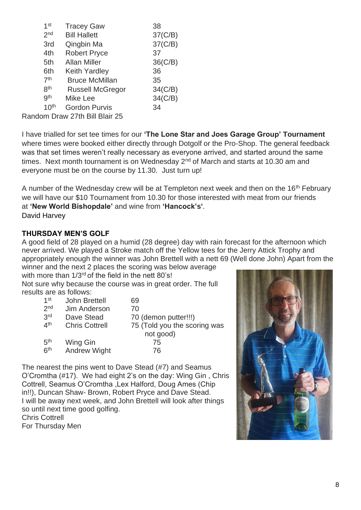| 1 <sup>st</sup>  | <b>Tracey Gaw</b>            | 38             |
|------------------|------------------------------|----------------|
| 2 <sub>nd</sub>  | <b>Bill Hallett</b>          | 37(C/B)        |
| 3rd              | Qingbin Ma                   | 37(C/B)        |
| 4th              | <b>Robert Pryce</b>          | 37             |
| 5th              | <b>Allan Miller</b>          | $36$ (C/B)     |
| 6th              | Keith Yardley                | 36             |
| 7 <sup>th</sup>  | <b>Bruce McMillan</b>        | 35             |
| 8 <sup>th</sup>  | <b>Russell McGregor</b>      | $34$ (C/B)     |
| gth              | <b>Mike Lee</b>              | $34$ ( $C/B$ ) |
| 10 <sup>th</sup> | <b>Gordon Purvis</b>         | 34             |
|                  | Drow 07th Dill Dloir 25 מייח |                |

Random Draw 27th Bill Blair 25

I have trialled for set tee times for our **'The Lone Star and Joes Garage Group' Tournament** where times were booked either directly through Dotgolf or the Pro-Shop. The general feedback was that set times weren't really necessary as everyone arrived, and started around the same times. Next month tournament is on Wednesday  $2<sup>nd</sup>$  of March and starts at 10.30 am and everyone must be on the course by 11.30. Just turn up!

A number of the Wednesday crew will be at Templeton next week and then on the 16<sup>th</sup> February we will have our \$10 Tournament from 10.30 for those interested with meat from our friends at **'New World Bishopdale'** and wine from **'Hancock's'**. David Harvey

#### **THURSDAY MEN'S GOLF**

A good field of 28 played on a humid (28 degree) day with rain forecast for the afternoon which never arrived. We played a Stroke match off the Yellow tees for the Jerry Attick Trophy and appropriately enough the winner was John Brettell with a nett 69 (Well done John) Apart from the

winner and the next 2 places the scoring was below average with more than  $1/3^{rd}$  of the field in the nett 80's! Not sure why because the course was in great order. The full

results are as follows:

| 1st             | John Brettell         | 69                           |
|-----------------|-----------------------|------------------------------|
| 2 <sub>nd</sub> | Jim Anderson          | 70                           |
| 3rd             | Dave Stead            | 70 (demon putter!!!)         |
| 4 <sup>th</sup> | <b>Chris Cottrell</b> | 75 (Told you the scoring was |
|                 |                       | not good)                    |
| 5 <sup>th</sup> | Wing Gin              | 75                           |
| 6 <sup>th</sup> | <b>Andrew Wight</b>   | 76                           |

The nearest the pins went to Dave Stead (#7) and Seamus O'Cromtha (#17). We had eight 2's on the day: Wing Gin , Chris Cottrell, Seamus O'Cromtha ,Lex Halford, Doug Ames (Chip in!!), Duncan Shaw- Brown, Robert Pryce and Dave Stead. I will be away next week, and John Brettell will look after things so until next time good golfing.

Chris Cottrell For Thursday Men

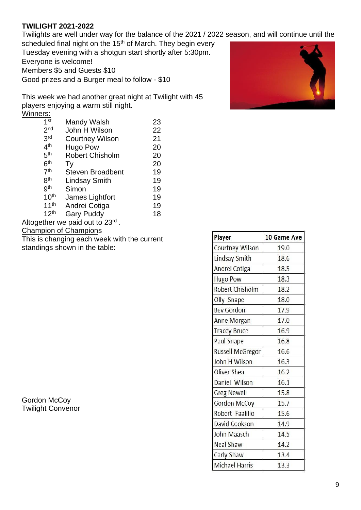#### **TWILIGHT 2021-2022**

Twilights are well under way for the balance of the 2021 / 2022 season, and will continue until the scheduled final night on the 15<sup>th</sup> of March. They begin every

Tuesday evening with a shotgun start shortly after 5:30pm. Everyone is welcome! Members \$5 and Guests \$10 Good prizes and a Burger meal to follow - \$10

This week we had another great night at Twilight with 45 players enjoying a warm still night. Winners:

| 1 <sup>st</sup>  | Mandy Walsh                             | 23 |
|------------------|-----------------------------------------|----|
| 2 <sub>nd</sub>  | John H Wilson                           | 22 |
| 3rd              | <b>Courtney Wilson</b>                  | 21 |
| 4 <sup>th</sup>  | <b>Hugo Pow</b>                         | 20 |
| 5 <sup>th</sup>  | <b>Robert Chisholm</b>                  | 20 |
| 6 <sup>th</sup>  | Tv                                      | 20 |
| 7 <sup>th</sup>  | <b>Steven Broadbent</b>                 | 19 |
| <b>8th</b>       | <b>Lindsay Smith</b>                    | 19 |
| gth              | Simon                                   | 19 |
| 10 <sup>th</sup> | James Lightfort                         | 19 |
| 11 <sup>th</sup> | Andrei Cotiga                           | 19 |
| 12 <sup>th</sup> | <b>Gary Puddy</b>                       | 18 |
|                  | ogether we paid out to 23 <sup>rd</sup> |    |

Altogether we paid out to 23<sup>t</sup> Champion of Champions

This is changing each week with the current

standings shown in the table:

Gordon McCoy Twilight Convenor



| Player                  | 10 Game Ave |  |
|-------------------------|-------------|--|
| Courtney Wilson         | 19.0        |  |
| Lindsay Smith           | 18.6        |  |
| Andrei Cotiga           | 18.5        |  |
| <b>Hugo Pow</b>         | 18.3        |  |
| Robert Chisholm         | 18.2        |  |
| Olly Snape              | 18.0        |  |
| <b>Bev Gordon</b>       | 17.9        |  |
| Anne Morgan             | 17.0        |  |
| <b>Tracey Bruce</b>     | 16.9        |  |
| Paul Snape              | 16.8        |  |
| <b>Russell McGregor</b> | 16.6        |  |
| John H Wilson           | 16.3        |  |
| Oliver Shea             | 16.2        |  |
| Daniel Wilson           | 16.1        |  |
| <b>Greg Newell</b>      | 15.8        |  |
| <b>Gordon McCoy</b>     | 15.7        |  |
| Robert Faalilio         | 15.6        |  |
| David Cookson           | 14.9        |  |
| John Maasch             | 14.5        |  |
| Neal Shaw               | 14.2        |  |
| Carly Shaw              | 13.4        |  |
| <b>Michael Harris</b>   | 13.3        |  |